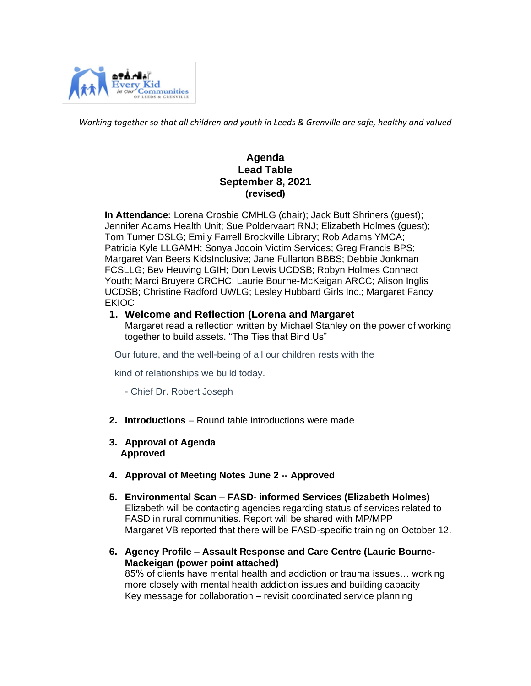

*Working together so that all children and youth in Leeds & Grenville are safe, healthy and valued*

## **Agenda Lead Table September 8, 2021 (revised)**

 **In Attendance:** Lorena Crosbie CMHLG (chair); Jack Butt Shriners (guest); Jennifer Adams Health Unit; Sue Poldervaart RNJ; Elizabeth Holmes (guest); Tom Turner DSLG; Emily Farrell Brockville Library; Rob Adams YMCA; Patricia Kyle LLGAMH; Sonya Jodoin Victim Services; Greg Francis BPS; Margaret Van Beers KidsInclusive; Jane Fullarton BBBS; Debbie Jonkman FCSLLG; Bev Heuving LGIH; Don Lewis UCDSB; Robyn Holmes Connect Youth; Marci Bruyere CRCHC; Laurie Bourne-McKeigan ARCC; Alison Inglis UCDSB; Christine Radford UWLG; Lesley Hubbard Girls Inc.; Margaret Fancy EKIOC

#### **1. Welcome and Reflection (Lorena and Margaret**

Margaret read a reflection written by Michael Stanley on the power of working together to build assets. "The Ties that Bind Us"

Our future, and the well-being of all our children rests with the

kind of relationships we build today.

- Chief Dr. Robert Joseph

- **2. Introductions**  Round table introductions were made
- **3. Approval of Agenda Approved**
- **4. Approval of Meeting Notes June 2 -- Approved**
- **5. Environmental Scan – FASD- informed Services (Elizabeth Holmes)** Elizabeth will be contacting agencies regarding status of services related to FASD in rural communities. Report will be shared with MP/MPP Margaret VB reported that there will be FASD-specific training on October 12.
- **6. Agency Profile – Assault Response and Care Centre (Laurie Bourne-Mackeigan (power point attached)** 85% of clients have mental health and addiction or trauma issues… working more closely with mental health addiction issues and building capacity Key message for collaboration – revisit coordinated service planning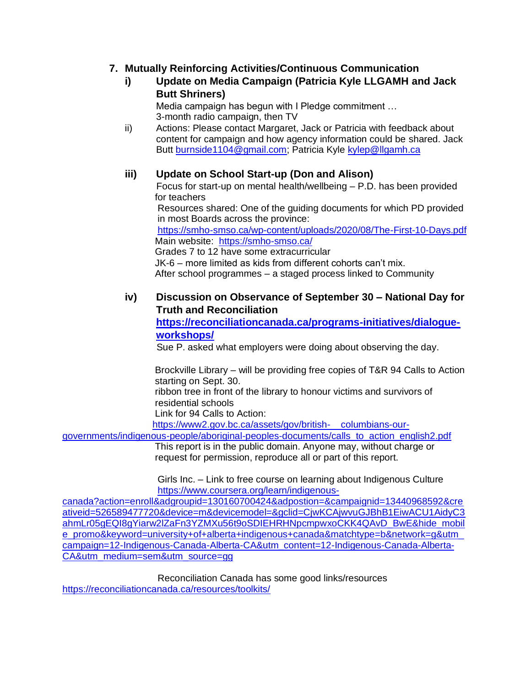# **7. Mutually Reinforcing Activities/Continuous Communication**

## **i) Update on Media Campaign (Patricia Kyle LLGAMH and Jack Butt Shriners)**

Media campaign has begun with I Pledge commitment … 3-month radio campaign, then TV

ii) Actions: Please contact Margaret, Jack or Patricia with feedback about content for campaign and how agency information could be shared. Jack Butt [burnside1104@gmail.com;](mailto:burnside1104@gmail.com) Patricia Kyle [kylep@llgamh.ca](mailto:kylep@llgamh.ca)

# **iii) Update on School Start-up (Don and Alison)**

Focus for start-up on mental health/wellbeing – P.D. has been provided for teachers

 Resources shared: One of the guiding documents for which PD provided in most Boards across the province:

 <https://smho-smso.ca/wp-content/uploads/2020/08/The-First-10-Days.pdf> Main website: <https://smho-smso.ca/>

 Grades 7 to 12 have some extracurricular JK-6 – more limited as kids from different cohorts can't mix. After school programmes – a staged process linked to Community

# **iv) Discussion on Observance of September 30 – National Day for Truth and Reconciliation**

**[https://reconciliationcanada.ca/programs-initiatives/dialogue](https://reconciliationcanada.ca/programs-initiatives/dialogue-workshops/)[workshops/](https://reconciliationcanada.ca/programs-initiatives/dialogue-workshops/)**

Sue P. asked what employers were doing about observing the day.

 Brockville Library – will be providing free copies of T&R 94 Calls to Action starting on Sept. 30. ribbon tree in front of the library to honour victims and survivors of residential schools

Link for 94 Calls to Action:

[https://www2.gov.bc.ca/assets/gov/british- columbians-our-](https://www2.gov.bc.ca/assets/gov/british-%20%20%20%20columbians-our-governments/indigenous-people/aboriginal-peoples-documents/calls_to_action_english2.pdf)

[governments/indigenous-people/aboriginal-peoples-documents/calls\\_to\\_action\\_english2.pdf](https://www2.gov.bc.ca/assets/gov/british-%20%20%20%20columbians-our-governments/indigenous-people/aboriginal-peoples-documents/calls_to_action_english2.pdf)

 This report is in the public domain. Anyone may, without charge or request for permission, reproduce all or part of this report.

 Girls Inc. – Link to free course on learning about Indigenous Culture [https://www.coursera.org/learn/indigenous-](https://www.coursera.org/learn/indigenous-%20%20%20%20%20canada?action=enroll&adgroupid=130160700424&adpostion=&campaignid=13440968592&creativeid=526589477720&device=m&devicemodel=&gclid=CjwKCAjwvuGJBhB1EiwACU1AidyC3ahmLr05gEQI8gYiarw2lZaFn3YZMXu56t9oSDIEHRHNpcmpwxoCKK4QAvD_BwE&hide_mobile_promo&keyword=university+of+alberta+indigenous+canada&matchtype=b&network=g&utm_campaign=12-Indigenous-Canada-Alberta-CA&utm_content=12-Indigenous-Canada-Alberta-CA&utm_medium=sem&utm_source=gg)

[canada?action=enroll&adgroupid=130160700424&adpostion=&campaignid=13440968592&cre](https://www.coursera.org/learn/indigenous-%20%20%20%20%20canada?action=enroll&adgroupid=130160700424&adpostion=&campaignid=13440968592&creativeid=526589477720&device=m&devicemodel=&gclid=CjwKCAjwvuGJBhB1EiwACU1AidyC3ahmLr05gEQI8gYiarw2lZaFn3YZMXu56t9oSDIEHRHNpcmpwxoCKK4QAvD_BwE&hide_mobile_promo&keyword=university+of+alberta+indigenous+canada&matchtype=b&network=g&utm_campaign=12-Indigenous-Canada-Alberta-CA&utm_content=12-Indigenous-Canada-Alberta-CA&utm_medium=sem&utm_source=gg) [ativeid=526589477720&device=m&devicemodel=&gclid=CjwKCAjwvuGJBhB1EiwACU1AidyC3](https://www.coursera.org/learn/indigenous-%20%20%20%20%20canada?action=enroll&adgroupid=130160700424&adpostion=&campaignid=13440968592&creativeid=526589477720&device=m&devicemodel=&gclid=CjwKCAjwvuGJBhB1EiwACU1AidyC3ahmLr05gEQI8gYiarw2lZaFn3YZMXu56t9oSDIEHRHNpcmpwxoCKK4QAvD_BwE&hide_mobile_promo&keyword=university+of+alberta+indigenous+canada&matchtype=b&network=g&utm_campaign=12-Indigenous-Canada-Alberta-CA&utm_content=12-Indigenous-Canada-Alberta-CA&utm_medium=sem&utm_source=gg) [ahmLr05gEQI8gYiarw2lZaFn3YZMXu56t9oSDIEHRHNpcmpwxoCKK4QAvD\\_BwE&hide\\_mobil](https://www.coursera.org/learn/indigenous-%20%20%20%20%20canada?action=enroll&adgroupid=130160700424&adpostion=&campaignid=13440968592&creativeid=526589477720&device=m&devicemodel=&gclid=CjwKCAjwvuGJBhB1EiwACU1AidyC3ahmLr05gEQI8gYiarw2lZaFn3YZMXu56t9oSDIEHRHNpcmpwxoCKK4QAvD_BwE&hide_mobile_promo&keyword=university+of+alberta+indigenous+canada&matchtype=b&network=g&utm_campaign=12-Indigenous-Canada-Alberta-CA&utm_content=12-Indigenous-Canada-Alberta-CA&utm_medium=sem&utm_source=gg) e\_promo&keyword=university+of+alberta+indigenous+canada&matchtype=b&network=g&utm [campaign=12-Indigenous-Canada-Alberta-CA&utm\\_content=12-Indigenous-Canada-Alberta-](https://www.coursera.org/learn/indigenous-%20%20%20%20%20canada?action=enroll&adgroupid=130160700424&adpostion=&campaignid=13440968592&creativeid=526589477720&device=m&devicemodel=&gclid=CjwKCAjwvuGJBhB1EiwACU1AidyC3ahmLr05gEQI8gYiarw2lZaFn3YZMXu56t9oSDIEHRHNpcmpwxoCKK4QAvD_BwE&hide_mobile_promo&keyword=university+of+alberta+indigenous+canada&matchtype=b&network=g&utm_campaign=12-Indigenous-Canada-Alberta-CA&utm_content=12-Indigenous-Canada-Alberta-CA&utm_medium=sem&utm_source=gg)[CA&utm\\_medium=sem&utm\\_source=gg](https://www.coursera.org/learn/indigenous-%20%20%20%20%20canada?action=enroll&adgroupid=130160700424&adpostion=&campaignid=13440968592&creativeid=526589477720&device=m&devicemodel=&gclid=CjwKCAjwvuGJBhB1EiwACU1AidyC3ahmLr05gEQI8gYiarw2lZaFn3YZMXu56t9oSDIEHRHNpcmpwxoCKK4QAvD_BwE&hide_mobile_promo&keyword=university+of+alberta+indigenous+canada&matchtype=b&network=g&utm_campaign=12-Indigenous-Canada-Alberta-CA&utm_content=12-Indigenous-Canada-Alberta-CA&utm_medium=sem&utm_source=gg)

 Reconciliation Canada has some good links/resources [https://reconciliationcanada.ca/resources/toolkits/](https://can01.safelinks.protection.outlook.com/?url=https%3A%2F%2Freconciliationcanada.ca%2Fresources%2Ftoolkits%2F&data=04%7C01%7Ccoordinator%40cmhlg.ca%7Ca49ea9445c0e4e30328108d9739ffa6d%7C8fcec33ca081439db2ccde219ad27b4b%7C0%7C0%7C637667953564162266%7CUnknown%7CTWFpbGZsb3d8eyJWIjoiMC4wLjAwMDAiLCJQIjoiV2luMzIiLCJBTiI6Ik1haWwiLCJXVCI6Mn0%3D%7C1000&sdata=JBu1KiFCtMg%2BDeyc1V1Z4uktaZwC381KveZBoflNFDU%3D&reserved=0)